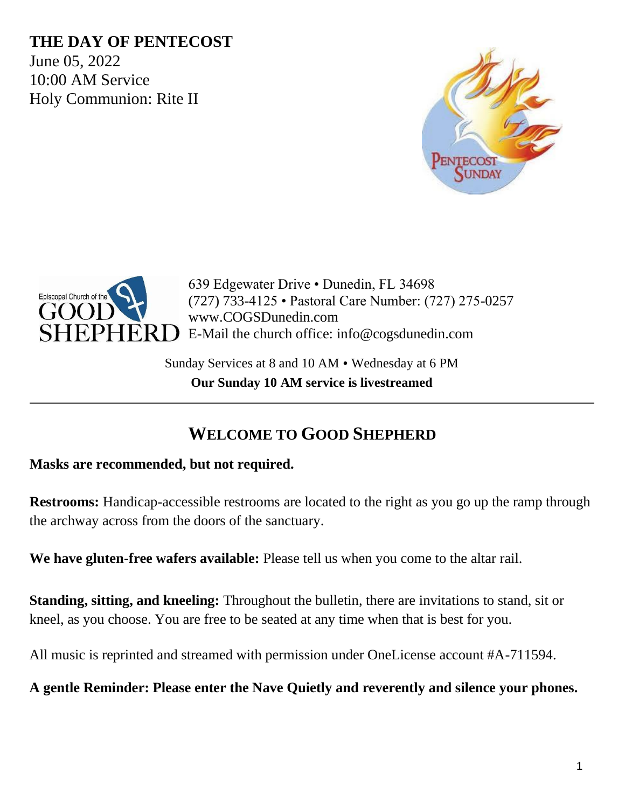# **THE DAY OF PENTECOST**

June 05, 2022 10:00 AM Service Holy Communion: Rite II





639 Edgewater Drive • Dunedin, FL 34698 (727) 733-4125 • Pastoral Care Number: (727) 275-0257 www.COGSDunedin.com E-Mail the church office: info@cogsdunedin.com

Sunday Services at 8 and 10 AM • Wednesday at 6 PM **Our Sunday 10 AM service is livestreamed**

# **WELCOME TO GOOD SHEPHERD**

#### **Masks are recommended, but not required.**

**Restrooms:** Handicap-accessible restrooms are located to the right as you go up the ramp through the archway across from the doors of the sanctuary.

**We have gluten-free wafers available:** Please tell us when you come to the altar rail.

**Standing, sitting, and kneeling:** Throughout the bulletin, there are invitations to stand, sit or kneel, as you choose. You are free to be seated at any time when that is best for you.

All music is reprinted and streamed with permission under OneLicense account #A-711594.

**A gentle Reminder: Please enter the Nave Quietly and reverently and silence your phones.**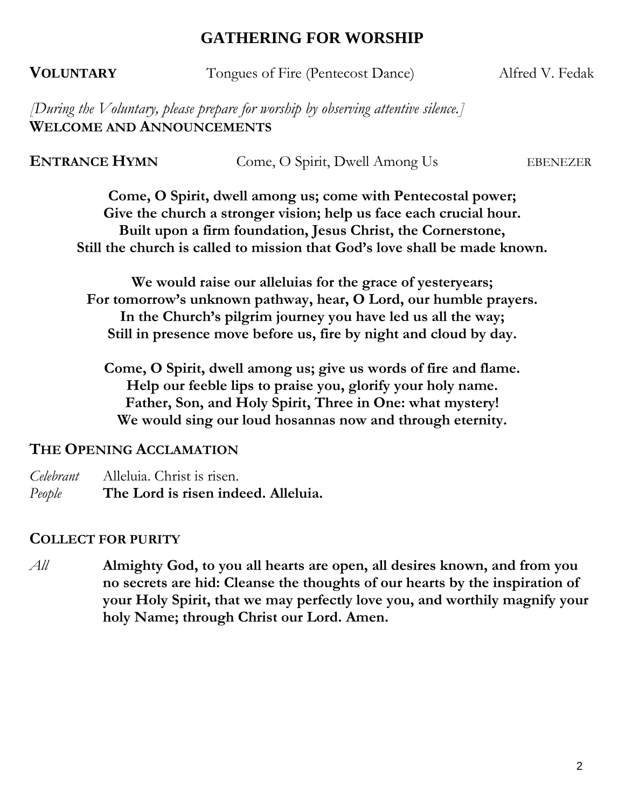# **GATHERING FOR WORSHIP**

**VOLUNTARY** Tongues of Fire (Pentecost Dance) Alfred V. Fedak

*[During the Voluntary, please prepare for worship by observing attentive silence.]* **WELCOME AND ANNOUNCEMENTS**

| <b>ENTRANCE HYMN</b> | Come, O Spirit, Dwell Among Us | <b>EBENEZER</b> |
|----------------------|--------------------------------|-----------------|
|----------------------|--------------------------------|-----------------|

**Come, O Spirit, dwell among us; come with Pentecostal power; Give the church a stronger vision; help us face each crucial hour. Built upon a firm foundation, Jesus Christ, the Cornerstone, Still the church is called to mission that God's love shall be made known.**

**We would raise our alleluias for the grace of yesteryears; For tomorrow's unknown pathway, hear, O Lord, our humble prayers. In the Church's pilgrim journey you have led us all the way; Still in presence move before us, fire by night and cloud by day.**

**Come, O Spirit, dwell among us; give us words of fire and flame. Help our feeble lips to praise you, glorify your holy name. Father, Son, and Holy Spirit, Three in One: what mystery! We would sing our loud hosannas now and through eternity.**

#### **THE OPENING ACCLAMATION**

*Celebrant* Alleluia. Christ is risen. *People* **The Lord is risen indeed. Alleluia.**

#### **COLLECT FOR PURITY**

*All* **Almighty God, to you all hearts are open, all desires known, and from you no secrets are hid: Cleanse the thoughts of our hearts by the inspiration of your Holy Spirit, that we may perfectly love you, and worthily magnify your holy Name; through Christ our Lord. Amen.**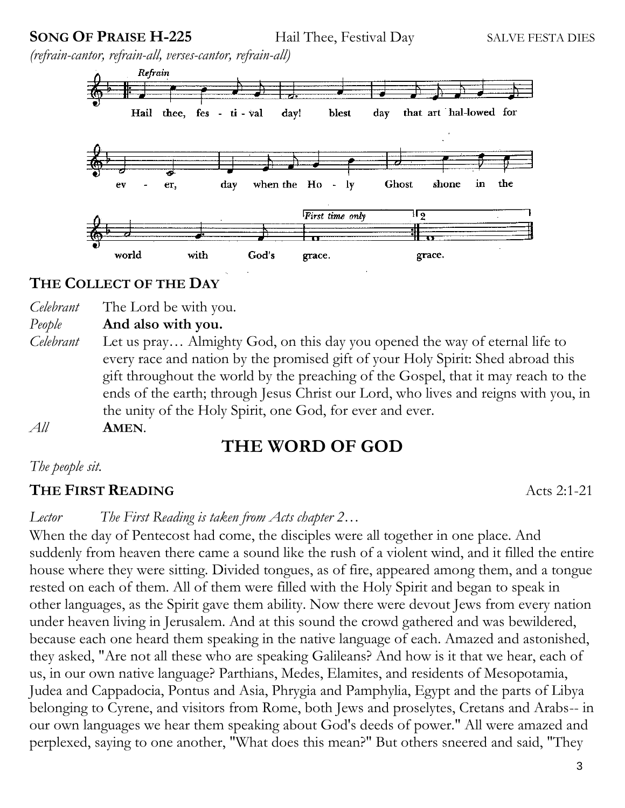**SONG OF PRAISE H-225** Hail Thee, Festival Day SALVE FESTA DIES

*(refrain-cantor, refrain-all, verses-cantor, refrain-all)*



#### **THE COLLECT OF THE DAY**

*Celebrant* The Lord be with you.

*People* **And also with you.**

- *Celebrant* Let us pray… Almighty God, on this day you opened the way of eternal life to every race and nation by the promised gift of your Holy Spirit: Shed abroad this gift throughout the world by the preaching of the Gospel, that it may reach to the ends of the earth; through Jesus Christ our Lord, who lives and reigns with you, in the unity of the Holy Spirit, one God, for ever and ever.
- *All* **AMEN**.

# **THE WORD OF GOD**

#### *The people sit.*

#### **THE FIRST READING** Acts 2:1-21

*Lector The First Reading is taken from Acts chapter 2…*

When the day of Pentecost had come, the disciples were all together in one place. And suddenly from heaven there came a sound like the rush of a violent wind, and it filled the entire house where they were sitting. Divided tongues, as of fire, appeared among them, and a tongue rested on each of them. All of them were filled with the Holy Spirit and began to speak in other languages, as the Spirit gave them ability. Now there were devout Jews from every nation under heaven living in Jerusalem. And at this sound the crowd gathered and was bewildered, because each one heard them speaking in the native language of each. Amazed and astonished, they asked, "Are not all these who are speaking Galileans? And how is it that we hear, each of us, in our own native language? Parthians, Medes, Elamites, and residents of Mesopotamia, Judea and Cappadocia, Pontus and Asia, Phrygia and Pamphylia, Egypt and the parts of Libya belonging to Cyrene, and visitors from Rome, both Jews and proselytes, Cretans and Arabs-- in our own languages we hear them speaking about God's deeds of power." All were amazed and perplexed, saying to one another, "What does this mean?" But others sneered and said, "They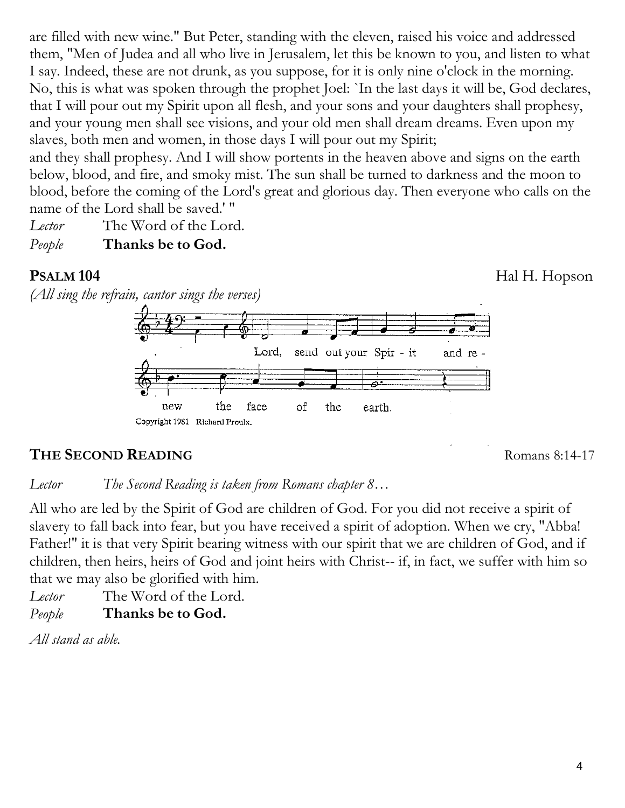are filled with new wine." But Peter, standing with the eleven, raised his voice and addressed them, "Men of Judea and all who live in Jerusalem, let this be known to you, and listen to what I say. Indeed, these are not drunk, as you suppose, for it is only nine o'clock in the morning. No, this is what was spoken through the prophet Joel: `In the last days it will be, God declares, that I will pour out my Spirit upon all flesh, and your sons and your daughters shall prophesy, and your young men shall see visions, and your old men shall dream dreams. Even upon my slaves, both men and women, in those days I will pour out my Spirit;

and they shall prophesy. And I will show portents in the heaven above and signs on the earth below, blood, and fire, and smoky mist. The sun shall be turned to darkness and the moon to blood, before the coming of the Lord's great and glorious day. Then everyone who calls on the name of the Lord shall be saved.' "

*Lector* The Word of the Lord.

*People* **Thanks be to God.**

#### **PSALM 104 Hal H. Hopson**

*(All sing the refrain, cantor sings the verses)*



# **THE SECOND READING** Romans 8:14-17

*Lector The Second Reading is taken from Romans chapter 8…*

All who are led by the Spirit of God are children of God. For you did not receive a spirit of slavery to fall back into fear, but you have received a spirit of adoption. When we cry, "Abba! Father!" it is that very Spirit bearing witness with our spirit that we are children of God, and if children, then heirs, heirs of God and joint heirs with Christ-- if, in fact, we suffer with him so that we may also be glorified with him.

*Lector* The Word of the Lord.

*People* **Thanks be to God.**

*All stand as able.*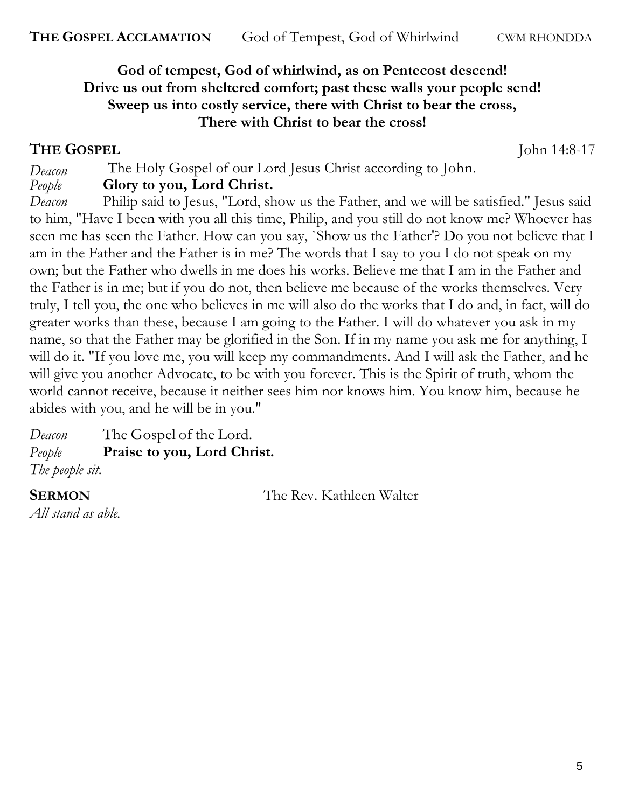#### **God of tempest, God of whirlwind, as on Pentecost descend! Drive us out from sheltered comfort; past these walls your people send! Sweep us into costly service, there with Christ to bear the cross, There with Christ to bear the cross!**

#### **THE GOSPEL** John 14:8-17

*Deacon* The Holy Gospel of our Lord Jesus Christ according to John.<br>People **Glory to you, Lord Christ.** 

*People* **Glory to you, Lord Christ.**

*Deacon* Philip said to Jesus, "Lord, show us the Father, and we will be satisfied." Jesus said to him, "Have I been with you all this time, Philip, and you still do not know me? Whoever has seen me has seen the Father. How can you say, `Show us the Father'? Do you not believe that I am in the Father and the Father is in me? The words that I say to you I do not speak on my own; but the Father who dwells in me does his works. Believe me that I am in the Father and the Father is in me; but if you do not, then believe me because of the works themselves. Very truly, I tell you, the one who believes in me will also do the works that I do and, in fact, will do greater works than these, because I am going to the Father. I will do whatever you ask in my name, so that the Father may be glorified in the Son. If in my name you ask me for anything, I will do it. "If you love me, you will keep my commandments. And I will ask the Father, and he will give you another Advocate, to be with you forever. This is the Spirit of truth, whom the world cannot receive, because it neither sees him nor knows him. You know him, because he abides with you, and he will be in you."

*Deacon* The Gospel of the Lord. *People* **Praise to you, Lord Christ.** *The people sit.*

*All stand as able.*

**SERMON** The Rev. Kathleen Walter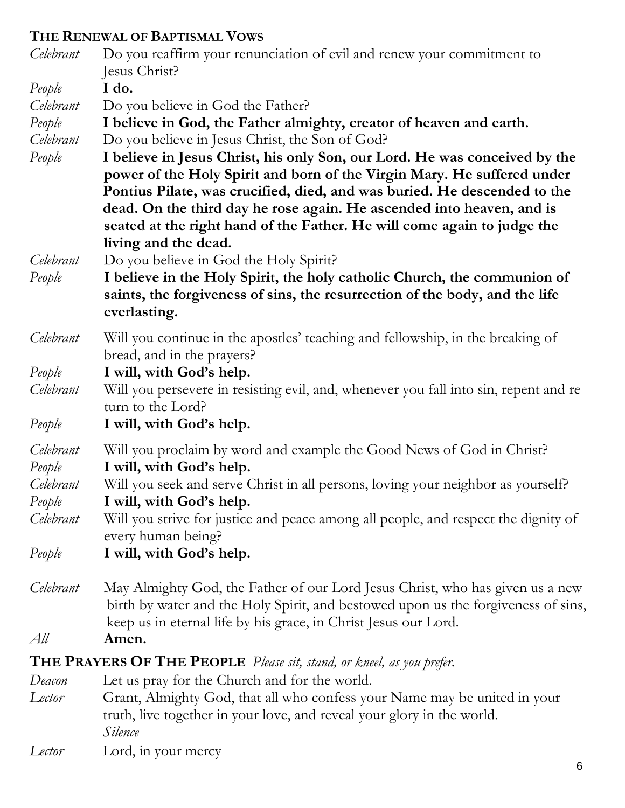## **THE RENEWAL OF BAPTISMAL VOWS**

| Celebrant           | Do you reaffirm your renunciation of evil and renew your commitment to<br>Jesus Christ?                                                                                                                                                                                                                                                                                                                       |  |  |
|---------------------|---------------------------------------------------------------------------------------------------------------------------------------------------------------------------------------------------------------------------------------------------------------------------------------------------------------------------------------------------------------------------------------------------------------|--|--|
| People              | I do.                                                                                                                                                                                                                                                                                                                                                                                                         |  |  |
| Celebrant           | Do you believe in God the Father?                                                                                                                                                                                                                                                                                                                                                                             |  |  |
| People              | I believe in God, the Father almighty, creator of heaven and earth.                                                                                                                                                                                                                                                                                                                                           |  |  |
| Celebrant           | Do you believe in Jesus Christ, the Son of God?                                                                                                                                                                                                                                                                                                                                                               |  |  |
| People              | I believe in Jesus Christ, his only Son, our Lord. He was conceived by the<br>power of the Holy Spirit and born of the Virgin Mary. He suffered under<br>Pontius Pilate, was crucified, died, and was buried. He descended to the<br>dead. On the third day he rose again. He ascended into heaven, and is<br>seated at the right hand of the Father. He will come again to judge the<br>living and the dead. |  |  |
| Celebrant           | Do you believe in God the Holy Spirit?                                                                                                                                                                                                                                                                                                                                                                        |  |  |
| People              | I believe in the Holy Spirit, the holy catholic Church, the communion of<br>saints, the forgiveness of sins, the resurrection of the body, and the life<br>everlasting.                                                                                                                                                                                                                                       |  |  |
| Celebrant           | Will you continue in the apostles' teaching and fellowship, in the breaking of<br>bread, and in the prayers?                                                                                                                                                                                                                                                                                                  |  |  |
| People              | I will, with God's help.                                                                                                                                                                                                                                                                                                                                                                                      |  |  |
| Celebrant           | Will you persevere in resisting evil, and, whenever you fall into sin, repent and re<br>turn to the Lord?                                                                                                                                                                                                                                                                                                     |  |  |
| People              | I will, with God's help.                                                                                                                                                                                                                                                                                                                                                                                      |  |  |
| Celebrant<br>People | Will you proclaim by word and example the Good News of God in Christ?<br>I will, with God's help.                                                                                                                                                                                                                                                                                                             |  |  |
| Celebrant           | Will you seek and serve Christ in all persons, loving your neighbor as yourself?                                                                                                                                                                                                                                                                                                                              |  |  |
| People              | I will, with God's help.                                                                                                                                                                                                                                                                                                                                                                                      |  |  |
| Celebrant           | Will you strive for justice and peace among all people, and respect the dignity of<br>every human being?                                                                                                                                                                                                                                                                                                      |  |  |
| People              | I will, with God's help.                                                                                                                                                                                                                                                                                                                                                                                      |  |  |
| Celebrant           | May Almighty God, the Father of our Lord Jesus Christ, who has given us a new<br>birth by water and the Holy Spirit, and bestowed upon us the forgiveness of sins,<br>keep us in eternal life by his grace, in Christ Jesus our Lord.                                                                                                                                                                         |  |  |
| All                 | Amen.                                                                                                                                                                                                                                                                                                                                                                                                         |  |  |
|                     | THE PRAYERS OF THE PEOPLE Please sit, stand, or kneel, as you prefer.                                                                                                                                                                                                                                                                                                                                         |  |  |
| Deacon              | Let us pray for the Church and for the world.                                                                                                                                                                                                                                                                                                                                                                 |  |  |
| Lector              | Grant, Almighty God, that all who confess your Name may be united in your<br>truth, live together in your love, and reveal your glory in the world.<br>Silence                                                                                                                                                                                                                                                |  |  |
| Lector              | Lord, in your mercy                                                                                                                                                                                                                                                                                                                                                                                           |  |  |
|                     | 6                                                                                                                                                                                                                                                                                                                                                                                                             |  |  |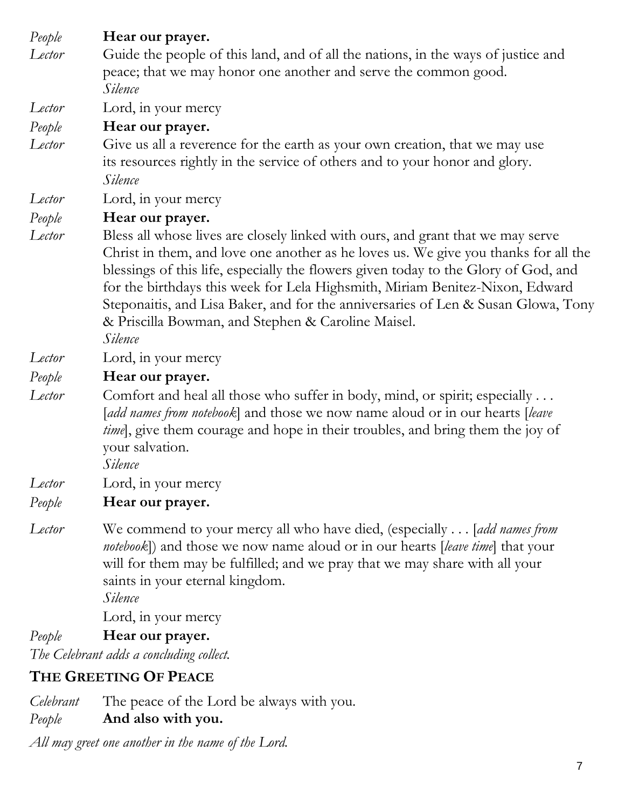### *People* **Hear our prayer.**

*Lector* Guide the people of this land, and of all the nations, in the ways of justice and peace; that we may honor one another and serve the common good. *Silence*

*Lector* Lord, in your mercy

- *People* **Hear our prayer.**
- *Lector* Give us all a reverence for the earth as your own creation, that we may use its resources rightly in the service of others and to your honor and glory. *Silence*
- *Lector* Lord, in your mercy

#### *People* **Hear our prayer.**

*Lector* Bless all whose lives are closely linked with ours, and grant that we may serve Christ in them, and love one another as he loves us. We give you thanks for all the blessings of this life, especially the flowers given today to the Glory of God, and for the birthdays this week for Lela Highsmith, Miriam Benitez-Nixon, Edward Steponaitis, and Lisa Baker, and for the anniversaries of Len & Susan Glowa, Tony & Priscilla Bowman, and Stephen & Caroline Maisel.

*Silence*

- *Lector* Lord, in your mercy
- *People* **Hear our prayer.**
- *Lector* Comfort and heal all those who suffer in body, mind, or spirit; especially . . . [*add names from notebook*] and those we now name aloud or in our hearts [*leave time*, give them courage and hope in their troubles, and bring them the joy of your salvation.

*Silence*

- *Lector* Lord, in your mercy
- *People* **Hear our prayer.**
- *Lector* We commend to your mercy all who have died, (especially . . . [*add names from notebook*]) and those we now name aloud or in our hearts [*leave time*] that your will for them may be fulfilled; and we pray that we may share with all your saints in your eternal kingdom.

*Silence*

Lord, in your mercy

*People* **Hear our prayer.**

*The Celebrant adds a concluding collect.* 

# **THE GREETING OF PEACE**

- *Celebrant* The peace of the Lord be always with you.
- *People* **And also with you.**

*All may greet one another in the name of the Lord.*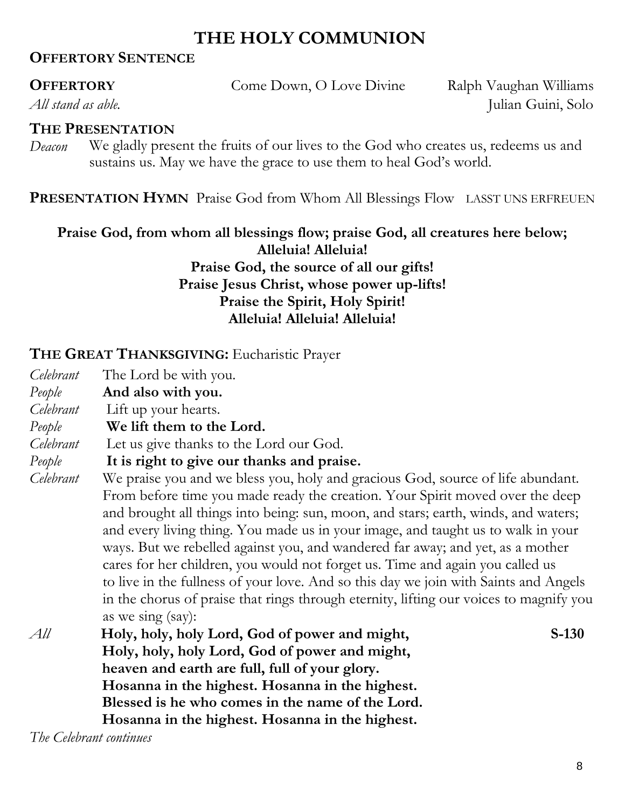# **THE HOLY COMMUNION**

# **OFFERTORY SENTENCE**

# **OFFERTORY**<br>All stand as able.

Come Down, O Love Divine Ralph Vaughan Williams *All stand as able.* Julian Guini, Solo

#### **THE PRESENTATION**

*Deacon* We gladly present the fruits of our lives to the God who creates us, redeems us and sustains us. May we have the grace to use them to heal God's world.

**PRESENTATION HYMN** Praise God from Whom All Blessings Flow LASST UNS ERFREUEN

**Praise God, from whom all blessings flow; praise God, all creatures here below; Alleluia! Alleluia! Praise God, the source of all our gifts! Praise Jesus Christ, whose power up-lifts! Praise the Spirit, Holy Spirit! Alleluia! Alleluia! Alleluia!**

**THE GREAT THANKSGIVING:** Eucharistic Prayer

- 
- *People* **And also with you.**
- *Celebrant* Lift up your hearts.
- *People* **We lift them to the Lord.**
- *Celebrant* Let us give thanks to the Lord our God.
- *People* **It is right to give our thanks and praise.**
- *The Lord be with you.*<br> *People* **And also with you.**<br> *Celebrant* Lift up your hearts.<br> *People* **Ve lift them to the I**<br> *Celebrant* Let us give thanks to the *People* **It is right to give our**<br> *Celebrant* We praise yo *Celebrant* We praise you and we bless you, holy and gracious God, source of life abundant. From before time you made ready the creation. Your Spirit moved over the deep and brought all things into being: sun, moon, and stars; earth, winds, and waters; and every living thing. You made us in your image, and taught us to walk in your ways. But we rebelled against you, and wandered far away; and yet, as a mother cares for her children, you would not forget us. Time and again you called us to live in the fullness of your love. And so this day we join with Saints and Angels in the chorus of praise that rings through eternity, lifting our voices to magnify you as we sing (say):
- *All* **Holy, holy, holy Lord, God of power and might, S-130 Holy, holy, holy Lord, God of power and might, heaven and earth are full, full of your glory. Hosanna in the highest. Hosanna in the highest. Blessed is he who comes in the name of the Lord. Hosanna in the highest. Hosanna in the highest.**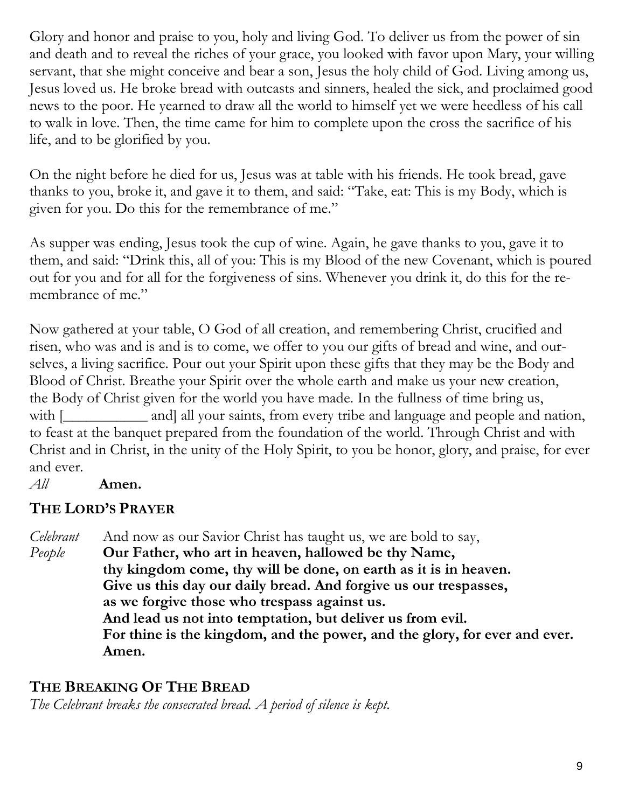Glory and honor and praise to you, holy and living God. To deliver us from the power of sin and death and to reveal the riches of your grace, you looked with favor upon Mary, your willing servant, that she might conceive and bear a son, Jesus the holy child of God. Living among us, Jesus loved us. He broke bread with outcasts and sinners, healed the sick, and proclaimed good news to the poor. He yearned to draw all the world to himself yet we were heedless of his call to walk in love. Then, the time came for him to complete upon the cross the sacrifice of his life, and to be glorified by you.

On the night before he died for us, Jesus was at table with his friends. He took bread, gave thanks to you, broke it, and gave it to them, and said: "Take, eat: This is my Body, which is given for you. Do this for the remembrance of me."

As supper was ending, Jesus took the cup of wine. Again, he gave thanks to you, gave it to them, and said: "Drink this, all of you: This is my Blood of the new Covenant, which is poured out for you and for all for the forgiveness of sins. Whenever you drink it, do this for the remembrance of me."

Now gathered at your table, O God of all creation, and remembering Christ, crucified and risen, who was and is and is to come, we offer to you our gifts of bread and wine, and ourselves, a living sacrifice. Pour out your Spirit upon these gifts that they may be the Body and Blood of Christ. Breathe your Spirit over the whole earth and make us your new creation, the Body of Christ given for the world you have made. In the fullness of time bring us, with  $\Box$  and all your saints, from every tribe and language and people and nation, to feast at the banquet prepared from the foundation of the world. Through Christ and with Christ and in Christ, in the unity of the Holy Spirit, to you be honor, glory, and praise, for ever and ever.

*All* **Amen.** 

# **THE LORD'S PRAYER**

*Celebrant* And now as our Savior Christ has taught us, we are bold to say, *People* **Our Father, who art in heaven, hallowed be thy Name, thy kingdom come, thy will be done, on earth as it is in heaven. Give us this day our daily bread. And forgive us our trespasses, as we forgive those who trespass against us. And lead us not into temptation, but deliver us from evil. For thine is the kingdom, and the power, and the glory, for ever and ever. Amen.**

# **THE BREAKING OF THE BREAD**

*The Celebrant breaks the consecrated bread. A period of silence is kept.*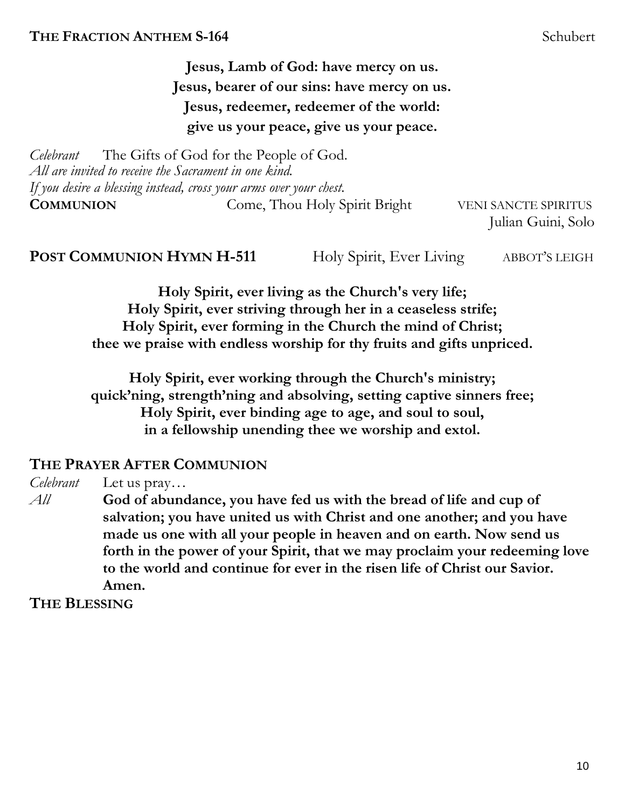**Jesus, Lamb of God: have mercy on us. Jesus, bearer of our sins: have mercy on us.**

#### **Jesus, redeemer, redeemer of the world:**

**give us your peace, give us your peace.**

*Celebrant* The Gifts of God for the People of God. *All are invited to receive the Sacrament in one kind. If you desire a blessing instead, cross your arms over your chest.* **COMMUNION** Come, Thou Holy Spirit Bright VENI SANCTE SPIRITUS

Julian Guini, Solo

**POST COMMUNION HYMN H-511** Holy Spirit, Ever Living ABBOT'S LEIGH

**Holy Spirit, ever living as the Church's very life; Holy Spirit, ever striving through her in a ceaseless strife; Holy Spirit, ever forming in the Church the mind of Christ; thee we praise with endless worship for thy fruits and gifts unpriced.**

**Holy Spirit, ever working through the Church's ministry; quick'ning, strength'ning and absolving, setting captive sinners free; Holy Spirit, ever binding age to age, and soul to soul, in a fellowship unending thee we worship and extol.**

#### **THE PRAYER AFTER COMMUNION**

*Celebrant* Let us pray…

*All* **God of abundance, you have fed us with the bread of life and cup of salvation; you have united us with Christ and one another; and you have made us one with all your people in heaven and on earth. Now send us forth in the power of your Spirit, that we may proclaim your redeeming love to the world and continue for ever in the risen life of Christ our Savior. Amen.**

**THE BLESSING**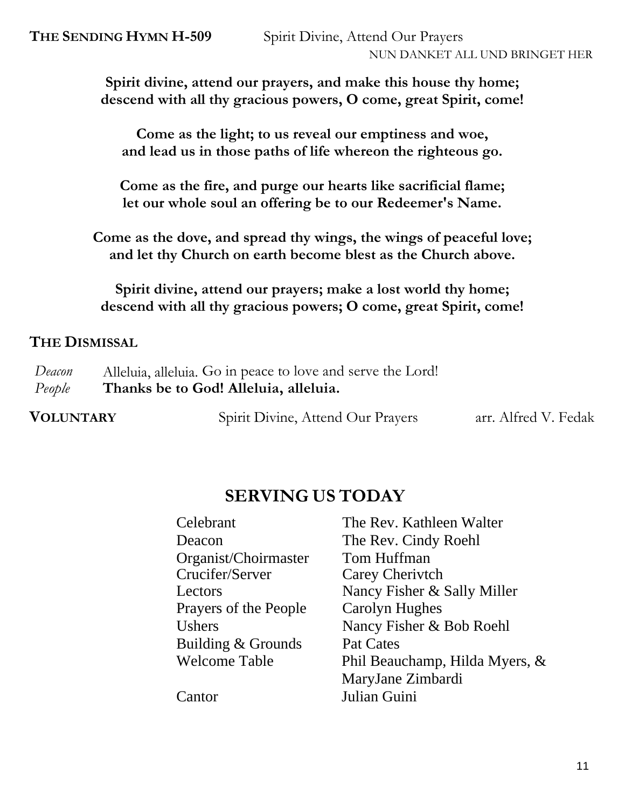**Spirit divine, attend our prayers, and make this house thy home; descend with all thy gracious powers, O come, great Spirit, come!**

**Come as the light; to us reveal our emptiness and woe, and lead us in those paths of life whereon the righteous go.**

**Come as the fire, and purge our hearts like sacrificial flame; let our whole soul an offering be to our Redeemer's Name.**

**Come as the dove, and spread thy wings, the wings of peaceful love; and let thy Church on earth become blest as the Church above.**

**Spirit divine, attend our prayers; make a lost world thy home; descend with all thy gracious powers; O come, great Spirit, come!**

#### **THE DISMISSAL**

| Deacon | Alleluia, alleluia. Go in peace to love and serve the Lord! |
|--------|-------------------------------------------------------------|
| People | Thanks be to God! Alleluia, alleluia.                       |

**VOLUNTARY** Spirit Divine, Attend Our Prayers arr. Alfred V. Fedak

# **SERVING US TODAY**

| Celebrant             | The Rev. Kathleen Walter       |
|-----------------------|--------------------------------|
| Deacon                | The Rev. Cindy Roehl           |
| Organist/Choirmaster  | Tom Huffman                    |
| Crucifer/Server       | <b>Carey Cherivtch</b>         |
| Lectors               | Nancy Fisher & Sally Miller    |
| Prayers of the People | Carolyn Hughes                 |
| Ushers                | Nancy Fisher & Bob Roehl       |
| Building & Grounds    | <b>Pat Cates</b>               |
| <b>Welcome Table</b>  | Phil Beauchamp, Hilda Myers, & |
|                       | MaryJane Zimbardi              |
| Cantor                | Julian Guini                   |